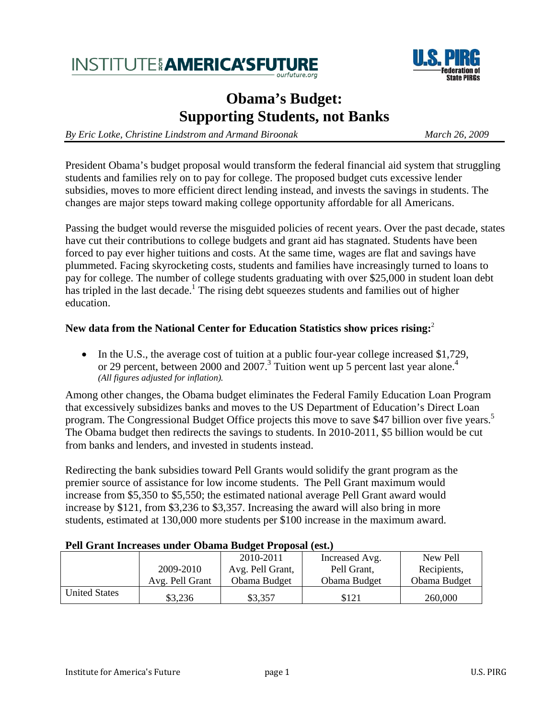# **INSTITUTE AMERICA'SFUTU**



# **Obama's Budget: Supporting Students, not Banks**

*By Eric Lotke, Christine Lindstrom and Armand Biroonak March 26, 2009* 

President Obama's budget proposal would transform the federal financial aid system that struggling students and families rely on to pay for college. The proposed budget cuts excessive lender subsidies, moves to more efficient direct lending instead, and invests the savings in students. The changes are major steps toward making college opportunity affordable for all Americans.

Passing the budget would reverse the misguided policies of recent years. Over the past decade, states have cut their contributions to college budgets and grant aid has stagnated. Students have been forced to pay ever higher tuitions and costs. At the same time, wages are flat and savings have plummeted. Facing skyrocketing costs, students and families have increasingly turned to loans to pay for college. The number of college students graduating with over \$25,000 in student loan debt has tripled in the last decade.<sup>1</sup> The rising debt squeezes students and families out of higher education.

#### **New data from the National Center for Education Statistics show prices rising:**<sup>2</sup>

• In the U.S., the average cost of tuition at a public four-year college increased \$1,729, or 29 percent, between 2000 and 2007.<sup>3</sup> Tuition went up 5 percent last year alone.<sup>4</sup> *(All figures adjusted for inflation).*

Among other changes, the Obama budget eliminates the Federal Family Education Loan Program that excessively subsidizes banks and moves to the US Department of Education's Direct Loan program. The Congressional Budget Office projects this move to save \$47 billion over five years.<sup>5</sup> The Obama budget then redirects the savings to students. In 2010-2011, \$5 billion would be cut from banks and lenders, and invested in students instead.

Redirecting the bank subsidies toward Pell Grants would solidify the grant program as the premier source of assistance for low income students. The Pell Grant maximum would increase from \$5,350 to \$5,550; the estimated national average Pell Grant award would increase by \$121, from \$3,236 to \$3,357. Increasing the award will also bring in more students, estimated at 130,000 more students per \$100 increase in the maximum award.

#### **Pell Grant Increases under Obama Budget Proposal (est.)**

|                      |                 | 2010-2011        | Increased Avg. | New Pell     |
|----------------------|-----------------|------------------|----------------|--------------|
|                      | 2009-2010       | Avg. Pell Grant, | Pell Grant,    | Recipients,  |
|                      | Avg. Pell Grant | Obama Budget     | Obama Budget   | Obama Budget |
| <b>United States</b> | \$3,236         | \$3,357          | \$121          | 260,000      |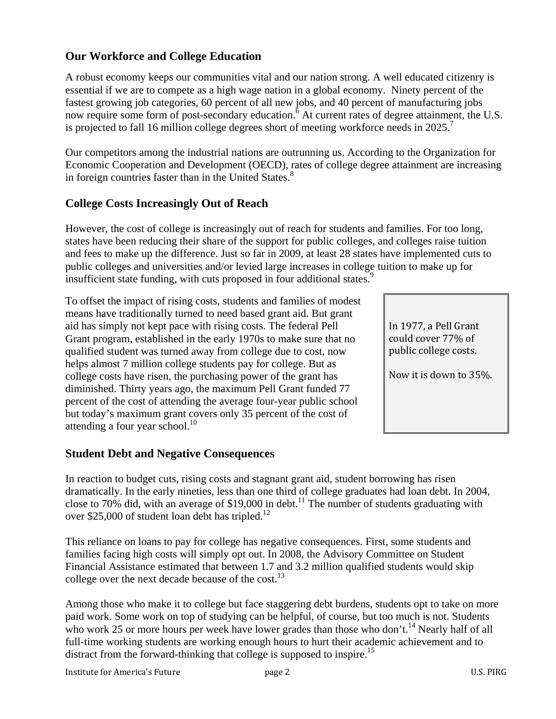# **Our Workforce and College Education**

A robust economy keeps our communities vital and our nation strong. A well educated citizenry is essential if we are to compete as a high wage nation in a global economy. Ninety percent of the fastest growing job categories, 60 percent of all new jobs, and 40 percent of manufacturing jobs now require some form of post-secondary education.<sup>6</sup> At current rates of degree attainment, the U.S. is projected to fall 16 million college degrees short of meeting workforce needs in 2025.<sup>7</sup>

Our competitors among the industrial nations are outrunning us. According to the Organization for Economic Cooperation and Development (OECD), rates of college degree attainment are increasing in foreign countries faster than in the United States.<sup>8</sup>

### **College Costs Increasingly Out of Reach**

However, the cost of college is increasingly out of reach for students and families. For too long, states have been reducing their share of the support for public colleges, and colleges raise tuition and fees to make up the difference. Just so far in 2009, at least 28 states have implemented cuts to public colleges and universities and/or levied large increases in college tuition to make up for insufficient state funding, with cuts proposed in four additional states.<sup>9</sup>

To offset the impact of rising costs, students and families of modest means have traditionally turned to need based grant aid. But grant aid has simply not kept pace with rising costs. The federal Pell Grant program, established in the early 1970s to make sure that no qualified student was turned away from college due to cost, now helps almost 7 million college students pay for college. But as college costs have risen, the purchasing power of the grant has diminished. Thirty years ago, the maximum Pell Grant funded 77 percent of the cost of attending the average four-year public school but today's maximum grant covers only 35 percent of the cost of attending a four year school.<sup>10</sup>

### **Student Debt and Negative Consequences**

In reaction to budget cuts, rising costs and stagnant grant aid, student borrowing has risen dramatically. In the early nineties, less than one third of college graduates had loan debt. In 2004, close to 70% did, with an average of \$19,000 in debt.<sup>11</sup> The number of students graduating with over \$25,000 of student loan debt has tripled.<sup>12</sup>

This reliance on loans to pay for college has negative consequences. First, some students and families facing high costs will simply opt out. In 2008, the Advisory Committee on Student Financial Assistance estimated that between 1.7 and 3.2 million qualified students would skip college over the next decade because of the  $cost^{13}$ .

Among those who make it to college but face staggering debt burdens, students opt to take on more paid work. Some work on top of studying can be helpful, of course, but too much is not. Students who work 25 or more hours per week have lower grades than those who don't.<sup>14</sup> Nearly half of all full-time working students are working enough hours to hurt their academic achievement and to distract from the forward-thinking that college is supposed to inspire.<sup>15</sup>

In 1977, a Pell Grant could cover 77% of public college costs.

Now it is down to 35%.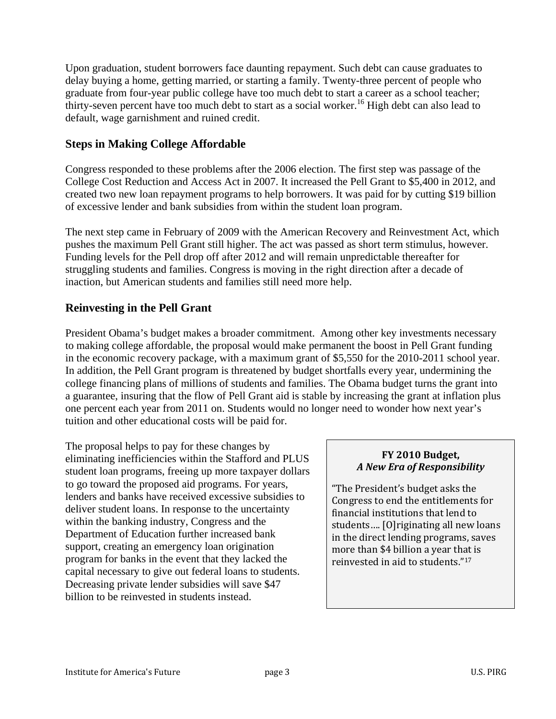Upon graduation, student borrowers face daunting repayment. Such debt can cause graduates to delay buying a home, getting married, or starting a family. Twenty-three percent of people who graduate from four-year public college have too much debt to start a career as a school teacher; thirty-seven percent have too much debt to start as a social worker.<sup>16</sup> High debt can also lead to default, wage garnishment and ruined credit.

# **Steps in Making College Affordable**

Congress responded to these problems after the 2006 election. The first step was passage of the College Cost Reduction and Access Act in 2007. It increased the Pell Grant to \$5,400 in 2012, and created two new loan repayment programs to help borrowers. It was paid for by cutting \$19 billion of excessive lender and bank subsidies from within the student loan program.

The next step came in February of 2009 with the American Recovery and Reinvestment Act, which pushes the maximum Pell Grant still higher. The act was passed as short term stimulus, however. Funding levels for the Pell drop off after 2012 and will remain unpredictable thereafter for struggling students and families. Congress is moving in the right direction after a decade of inaction, but American students and families still need more help.

### **Reinvesting in the Pell Grant**

President Obama's budget makes a broader commitment. Among other key investments necessary to making college affordable, the proposal would make permanent the boost in Pell Grant funding in the economic recovery package, with a maximum grant of \$5,550 for the 2010-2011 school year. In addition, the Pell Grant program is threatened by budget shortfalls every year, undermining the college financing plans of millions of students and families. The Obama budget turns the grant into a guarantee, insuring that the flow of Pell Grant aid is stable by increasing the grant at inflation plus one percent each year from 2011 on. Students would no longer need to wonder how next year's tuition and other educational costs will be paid for.

The proposal helps to pay for these changes by eliminating inefficiencies within the Stafford and PLUS student loan programs, freeing up more taxpayer dollars to go toward the proposed aid programs. For years, lenders and banks have received excessive subsidies to deliver student loans. In response to the uncertainty within the banking industry, Congress and the Department of Education further increased bank support, creating an emergency loan origination program for banks in the event that they lacked the capital necessary to give out federal loans to students. Decreasing private lender subsidies will save \$47 billion to be reinvested in students instead.

#### **FY 2010 Budget,**  *A New Era of Responsibility*

"The President's budget asks the Congress to end the entitlements for financial institutions that lend to students…. [O]riginating all new loans in the direct lending programs, saves more than \$4 billion a year that is reinvested in aid to students."17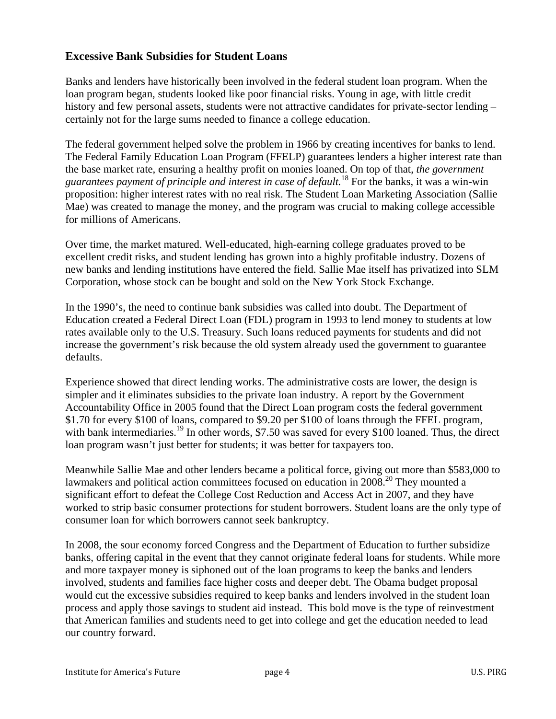#### **Excessive Bank Subsidies for Student Loans**

Banks and lenders have historically been involved in the federal student loan program. When the loan program began, students looked like poor financial risks. Young in age, with little credit history and few personal assets, students were not attractive candidates for private-sector lending – certainly not for the large sums needed to finance a college education.

The federal government helped solve the problem in 1966 by creating incentives for banks to lend. The Federal Family Education Loan Program (FFELP) guarantees lenders a higher interest rate than the base market rate, ensuring a healthy profit on monies loaned. On top of that, *the government guarantees payment of principle and interest in case of default.*18 For the banks, it was a win-win proposition: higher interest rates with no real risk. The Student Loan Marketing Association (Sallie Mae) was created to manage the money, and the program was crucial to making college accessible for millions of Americans.

Over time, the market matured. Well-educated, high-earning college graduates proved to be excellent credit risks, and student lending has grown into a highly profitable industry. Dozens of new banks and lending institutions have entered the field. Sallie Mae itself has privatized into SLM Corporation, whose stock can be bought and sold on the New York Stock Exchange.

In the 1990's, the need to continue bank subsidies was called into doubt. The Department of Education created a Federal Direct Loan (FDL) program in 1993 to lend money to students at low rates available only to the U.S. Treasury. Such loans reduced payments for students and did not increase the government's risk because the old system already used the government to guarantee defaults.

Experience showed that direct lending works. The administrative costs are lower, the design is simpler and it eliminates subsidies to the private loan industry. A report by the Government Accountability Office in 2005 found that the Direct Loan program costs the federal government \$1.70 for every \$100 of loans, compared to \$9.20 per \$100 of loans through the FFEL program, with bank intermediaries.<sup>19</sup> In other words, \$7.50 was saved for every \$100 loaned. Thus, the direct loan program wasn't just better for students; it was better for taxpayers too.

Meanwhile Sallie Mae and other lenders became a political force, giving out more than \$583,000 to lawmakers and political action committees focused on education in  $2008$ <sup>20</sup> They mounted a significant effort to defeat the College Cost Reduction and Access Act in 2007, and they have worked to strip basic consumer protections for student borrowers. Student loans are the only type of consumer loan for which borrowers cannot seek bankruptcy.

In 2008, the sour economy forced Congress and the Department of Education to further subsidize banks, offering capital in the event that they cannot originate federal loans for students. While more and more taxpayer money is siphoned out of the loan programs to keep the banks and lenders involved, students and families face higher costs and deeper debt. The Obama budget proposal would cut the excessive subsidies required to keep banks and lenders involved in the student loan process and apply those savings to student aid instead. This bold move is the type of reinvestment that American families and students need to get into college and get the education needed to lead our country forward.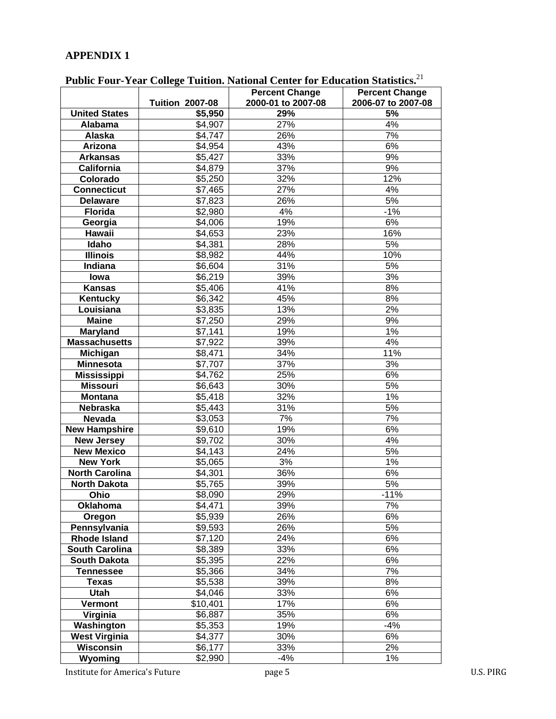# **APPENDIX 1**

|                           | I ublic Pour-Fear Conege Fundon, Rational Center for Equeation Statistics. |                                             |                                             |  |  |
|---------------------------|----------------------------------------------------------------------------|---------------------------------------------|---------------------------------------------|--|--|
|                           | <b>Tuition 2007-08</b>                                                     | <b>Percent Change</b><br>2000-01 to 2007-08 | <b>Percent Change</b><br>2006-07 to 2007-08 |  |  |
| <b>United States</b>      | \$5,950                                                                    | 29%                                         | 5%                                          |  |  |
| Alabama                   | \$4,907                                                                    | 27%                                         | 4%                                          |  |  |
| Alaska                    | \$4,747                                                                    | 26%                                         | 7%                                          |  |  |
| Arizona                   | \$4,954                                                                    | 43%                                         | 6%                                          |  |  |
| <b>Arkansas</b>           | \$5,427                                                                    | 33%                                         | 9%                                          |  |  |
| <b>California</b>         | \$4,879                                                                    | 37%                                         | 9%                                          |  |  |
| Colorado                  | \$5,250                                                                    | 32%                                         | 12%                                         |  |  |
| <b>Connecticut</b>        | \$7,465                                                                    | 27%                                         | 4%                                          |  |  |
| <b>Delaware</b>           | \$7,823                                                                    | 26%                                         | 5%                                          |  |  |
| Florida                   | \$2,980                                                                    | 4%                                          | $-1%$                                       |  |  |
| Georgia                   | \$4,006                                                                    | 19%                                         | 6%                                          |  |  |
| Hawaii                    | \$4,653                                                                    | 23%                                         | 16%                                         |  |  |
| Idaho                     | \$4,381                                                                    | 28%                                         | 5%                                          |  |  |
| <b>Illinois</b>           | \$8,982                                                                    | 44%                                         | 10%                                         |  |  |
| Indiana                   | \$6,604                                                                    | 31%                                         | 5%                                          |  |  |
| lowa                      | \$6,219                                                                    | 39%                                         | 3%                                          |  |  |
| <b>Kansas</b>             | \$5,406                                                                    | 41%                                         | 8%                                          |  |  |
| Kentucky                  | \$6,342                                                                    | 45%                                         | 8%                                          |  |  |
| Louisiana                 | \$3,835                                                                    | 13%                                         | 2%                                          |  |  |
| <b>Maine</b>              | \$7,250                                                                    | 29%                                         | 9%                                          |  |  |
| <b>Maryland</b>           | \$7,141                                                                    | 19%                                         | 1%                                          |  |  |
| <b>Massachusetts</b>      |                                                                            | 39%                                         | 4%                                          |  |  |
|                           | \$7,922<br>\$8,471                                                         | 34%                                         | 11%                                         |  |  |
| Michigan                  |                                                                            | 37%                                         | 3%                                          |  |  |
| <b>Minnesota</b>          | \$7,707                                                                    | 25%                                         | 6%                                          |  |  |
| <b>Mississippi</b>        | \$4,762                                                                    | 30%                                         | 5%                                          |  |  |
| <b>Missouri</b>           | \$6,643                                                                    | 32%                                         | 1%                                          |  |  |
| <b>Montana</b>            | \$5,418                                                                    | 31%                                         | 5%                                          |  |  |
| Nebraska<br><b>Nevada</b> | \$5,443<br>\$3,053                                                         | 7%                                          | 7%                                          |  |  |
| <b>New Hampshire</b>      | \$9,610                                                                    | 19%                                         | 6%                                          |  |  |
| <b>New Jersey</b>         | \$9,702                                                                    | 30%                                         | 4%                                          |  |  |
| <b>New Mexico</b>         | \$4,143                                                                    | 24%                                         | 5%                                          |  |  |
| <b>New York</b>           | \$5,065                                                                    | 3%                                          | $1\%$                                       |  |  |
| <b>North Carolina</b>     | \$4,301                                                                    | 36%                                         | 6%                                          |  |  |
| <b>North Dakota</b>       | \$5,765                                                                    | 39%                                         | 5%                                          |  |  |
| Ohio                      | \$8,090                                                                    | 29%                                         | $-11%$                                      |  |  |
| <b>Oklahoma</b>           | \$4,471                                                                    | 39%                                         | 7%                                          |  |  |
| Oregon                    | \$5,939                                                                    | 26%                                         | 6%                                          |  |  |
| Pennsylvania              | \$9,593                                                                    | 26%                                         | 5%                                          |  |  |
| <b>Rhode Island</b>       | \$7,120                                                                    | 24%                                         | 6%                                          |  |  |
| <b>South Carolina</b>     | \$8,389                                                                    | 33%                                         | 6%                                          |  |  |
| <b>South Dakota</b>       | \$5,395                                                                    | 22%                                         | 6%                                          |  |  |
| <b>Tennessee</b>          | \$5,366                                                                    | 34%                                         | 7%                                          |  |  |
| <b>Texas</b>              | \$5,538                                                                    | 39%                                         | 8%                                          |  |  |
| <b>Utah</b>               | \$4,046                                                                    | 33%                                         | 6%                                          |  |  |
| Vermont                   | \$10,401                                                                   | 17%                                         | 6%                                          |  |  |
| Virginia                  | \$6,887                                                                    | 35%                                         | 6%                                          |  |  |
| Washington                | \$5,353                                                                    | 19%                                         | $-4%$                                       |  |  |
| <b>West Virginia</b>      | \$4,377                                                                    | 30%                                         | 6%                                          |  |  |
| Wisconsin                 | \$6,177                                                                    | 33%                                         | $2\%$                                       |  |  |
| Wyoming                   | \$2,990                                                                    | $-4%$                                       | 1%                                          |  |  |

**Public Four-Year College Tuition. National Center for Education Statistics.**<sup>21</sup>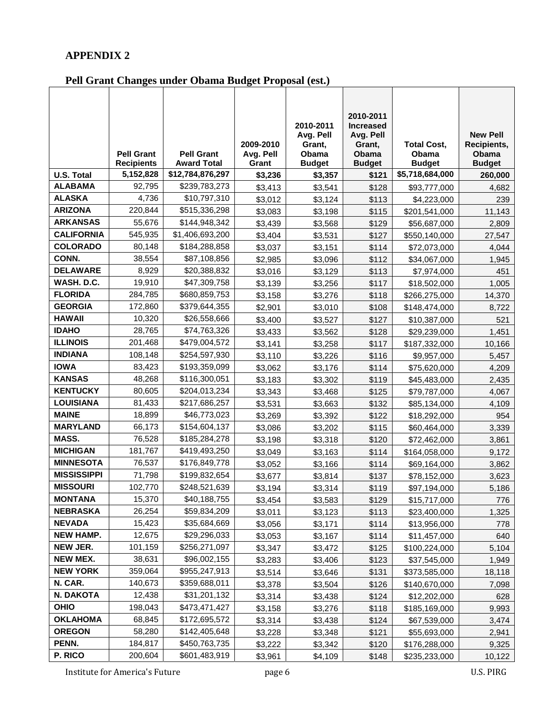### **APPENDIX 2**

# **Pell Grant Changes under Obama Budget Proposal (est.)**

|                    |                                        |                                         |                    | 2010-2011<br>Avg. Pell | 2010-2011<br><b>Increased</b><br>Avg. Pell |                               | <b>New Pell</b>        |
|--------------------|----------------------------------------|-----------------------------------------|--------------------|------------------------|--------------------------------------------|-------------------------------|------------------------|
|                    |                                        |                                         | 2009-2010          | Grant,                 | Grant,                                     | <b>Total Cost,</b>            | Recipients,            |
|                    | <b>Pell Grant</b><br><b>Recipients</b> | <b>Pell Grant</b><br><b>Award Total</b> | Avg. Pell<br>Grant | Obama<br><b>Budget</b> | Obama<br><b>Budget</b>                     | <b>Obama</b><br><b>Budget</b> | Obama<br><b>Budget</b> |
| <b>U.S. Total</b>  | 5,152,828                              | \$12,784,876,297                        | \$3,236            | \$3,357                | \$121                                      | \$5,718,684,000               | 260,000                |
| <b>ALABAMA</b>     | 92,795                                 | \$239,783,273                           | \$3,413            | \$3,541                | \$128                                      | \$93,777,000                  | 4,682                  |
| <b>ALASKA</b>      | 4,736                                  | \$10,797,310                            | \$3,012            | \$3,124                | \$113                                      | \$4,223,000                   | 239                    |
| <b>ARIZONA</b>     | 220,844                                | \$515,336,298                           | \$3,083            | \$3,198                | \$115                                      | \$201,541,000                 | 11,143                 |
| <b>ARKANSAS</b>    | 55,676                                 | \$144,948,342                           | \$3,439            | \$3,568                | \$129                                      | \$56,687,000                  | 2,809                  |
| <b>CALIFORNIA</b>  | 545,935                                | \$1,406,693,200                         | \$3,404            | \$3,531                | \$127                                      | \$550,140,000                 | 27,547                 |
| <b>COLORADO</b>    | 80,148                                 | \$184,288,858                           | \$3,037            | \$3,151                | \$114                                      | \$72,073,000                  | 4,044                  |
| CONN.              | 38,554                                 | \$87,108,856                            | \$2,985            | \$3,096                | \$112                                      | \$34,067,000                  | 1,945                  |
| <b>DELAWARE</b>    | 8,929                                  | \$20,388,832                            | \$3,016            | \$3,129                | \$113                                      | \$7,974,000                   | 451                    |
| WASH. D.C.         | 19,910                                 | \$47,309,758                            | \$3,139            | \$3,256                | \$117                                      | \$18,502,000                  | 1,005                  |
| <b>FLORIDA</b>     | 284,785                                | \$680,859,753                           | \$3,158            | \$3,276                | \$118                                      | \$266,275,000                 | 14,370                 |
| <b>GEORGIA</b>     | 172,860                                | \$379,644,355                           | \$2,901            | \$3,010                | \$108                                      | \$148,474,000                 | 8,722                  |
| <b>HAWAII</b>      | 10,320                                 | \$26,558,666                            | \$3,400            | \$3,527                | \$127                                      | \$10,387,000                  | 521                    |
| <b>IDAHO</b>       | 28,765                                 | \$74,763,326                            | \$3,433            | \$3,562                | \$128                                      | \$29,239,000                  | 1,451                  |
| <b>ILLINOIS</b>    | 201,468                                | \$479,004,572                           | \$3,141            | \$3,258                | \$117                                      | \$187,332,000                 | 10,166                 |
| <b>INDIANA</b>     | 108,148                                | \$254,597,930                           | \$3,110            | \$3,226                | \$116                                      | \$9,957,000                   | 5,457                  |
| <b>IOWA</b>        | 83,423                                 | \$193,359,099                           | \$3,062            | \$3,176                | \$114                                      | \$75,620,000                  | 4,209                  |
| <b>KANSAS</b>      | 48,268                                 | \$116,300,051                           | \$3,183            | \$3,302                | \$119                                      | \$45,483,000                  | 2,435                  |
| <b>KENTUCKY</b>    | 80,605                                 | \$204,013,234                           | \$3,343            | \$3,468                | \$125                                      | \$79,787,000                  | 4,067                  |
| <b>LOUISIANA</b>   | 81,433                                 | \$217,686,257                           | \$3,531            | \$3,663                | \$132                                      | \$85,134,000                  | 4,109                  |
| <b>MAINE</b>       | 18,899                                 | \$46,773,023                            | \$3,269            | \$3,392                | \$122                                      | \$18,292,000                  | 954                    |
| <b>MARYLAND</b>    | 66,173                                 | \$154,604,137                           | \$3,086            | \$3,202                | \$115                                      | \$60,464,000                  | 3,339                  |
| MASS.              | 76,528                                 | \$185,284,278                           | \$3,198            | \$3,318                | \$120                                      | \$72,462,000                  | 3,861                  |
| <b>MICHIGAN</b>    | 181,767                                | \$419,493,250                           | \$3,049            | \$3,163                | \$114                                      | \$164,058,000                 | 9,172                  |
| <b>MINNESOTA</b>   | 76,537                                 | \$176,849,778                           | \$3,052            | \$3,166                | \$114                                      | \$69,164,000                  | 3,862                  |
| <b>MISSISSIPPI</b> | 71,798                                 | \$199,832,654                           | \$3,677            | \$3,814                | \$137                                      | \$78,152,000                  | 3,623                  |
| <b>MISSOURI</b>    | 102,770                                | \$248,521,639                           | \$3,194            | \$3,314                | \$119                                      | \$97,194,000                  | 5,186                  |
| MONTANA            | 15,370                                 | \$40,188,755                            | \$3,454            | \$3,583                | \$129                                      | \$15,717,000                  | 776                    |
| <b>NEBRASKA</b>    | 26,254                                 | \$59,834,209                            | \$3,011            | \$3,123                | \$113                                      | \$23,400,000                  | 1,325                  |
| <b>NEVADA</b>      | 15,423                                 | \$35,684,669                            | \$3,056            | \$3,171                | \$114                                      | \$13,956,000                  | 778                    |
| <b>NEW HAMP.</b>   | 12,675                                 | \$29,296,033                            | \$3,053            | \$3,167                | \$114                                      | \$11,457,000                  | 640                    |
| NEW JER.           | 101,159                                | \$256,271,097                           | \$3,347            | \$3,472                | \$125                                      | \$100,224,000                 | 5,104                  |
| <b>NEW MEX.</b>    | 38,631                                 | \$96,002,155                            | \$3,283            | \$3,406                | \$123                                      | \$37,545,000                  | 1,949                  |
| <b>NEW YORK</b>    | 359,064                                | \$955,247,913                           | \$3,514            | \$3,646                | \$131                                      | \$373,585,000                 | 18,118                 |
| N. CAR.            | 140,673                                | \$359,688,011                           | \$3,378            | \$3,504                | \$126                                      | \$140,670,000                 | 7,098                  |
| N. DAKOTA          | 12,438                                 | \$31,201,132                            | \$3,314            | \$3,438                | \$124                                      | \$12,202,000                  | 628                    |
| <b>OHIO</b>        | 198,043                                | \$473,471,427                           | \$3,158            | \$3,276                | \$118                                      | \$185,169,000                 | 9,993                  |
| <b>OKLAHOMA</b>    | 68,845                                 | \$172,695,572                           | \$3,314            | \$3,438                | \$124                                      | \$67,539,000                  | 3,474                  |
| <b>OREGON</b>      | 58,280                                 | \$142,405,648                           | \$3,228            | \$3,348                | \$121                                      | \$55,693,000                  | 2,941                  |
| PENN.              | 184,817                                | \$450,763,735                           | \$3,222            | \$3,342                | \$120                                      | \$176,288,000                 | 9,325                  |
| P. RICO            | 200,604                                | \$601,483,919                           | \$3,961            | \$4,109                | \$148                                      | \$235,233,000                 | 10,122                 |

Institute for America's Future page 6 U.S. PIRG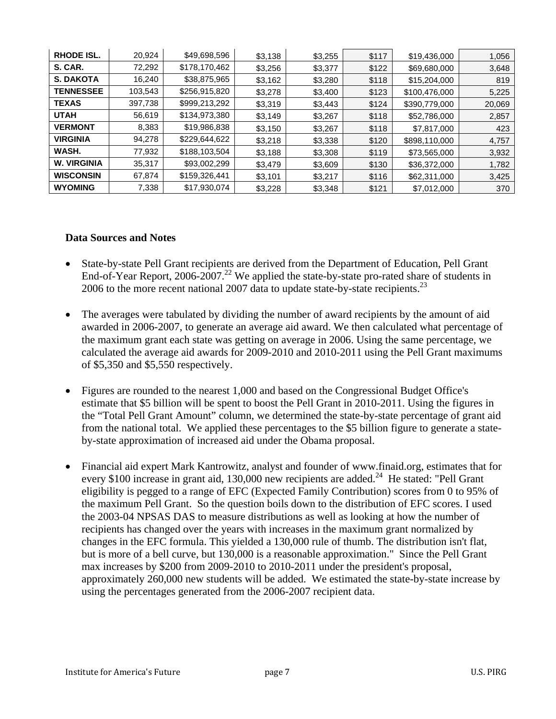| <b>RHODE ISL.</b>  | 20,924  | \$49,698,596  | \$3,138 | \$3,255 | \$117 | \$19,436,000  | 1,056  |
|--------------------|---------|---------------|---------|---------|-------|---------------|--------|
| S. CAR.            | 72,292  | \$178,170,462 | \$3,256 | \$3,377 | \$122 | \$69,680,000  | 3,648  |
| <b>S. DAKOTA</b>   | 16,240  | \$38,875,965  | \$3,162 | \$3,280 | \$118 | \$15,204,000  | 819    |
| <b>TENNESSEE</b>   | 103,543 | \$256,915,820 | \$3,278 | \$3,400 | \$123 | \$100,476,000 | 5,225  |
| <b>TEXAS</b>       | 397,738 | \$999,213,292 | \$3,319 | \$3,443 | \$124 | \$390,779,000 | 20,069 |
| <b>UTAH</b>        | 56,619  | \$134,973,380 | \$3,149 | \$3,267 | \$118 | \$52,786,000  | 2,857  |
| <b>VERMONT</b>     | 8,383   | \$19,986,838  | \$3,150 | \$3,267 | \$118 | \$7,817,000   | 423    |
| <b>VIRGINIA</b>    | 94,278  | \$229,644,622 | \$3,218 | \$3,338 | \$120 | \$898,110,000 | 4,757  |
| WASH.              | 77,932  | \$188,103,504 | \$3,188 | \$3,308 | \$119 | \$73,565,000  | 3,932  |
| <b>W. VIRGINIA</b> | 35,317  | \$93,002,299  | \$3,479 | \$3,609 | \$130 | \$36,372,000  | 1,782  |
| <b>WISCONSIN</b>   | 67,874  | \$159,326,441 | \$3,101 | \$3,217 | \$116 | \$62,311,000  | 3,425  |
| <b>WYOMING</b>     | 7,338   | \$17,930,074  | \$3,228 | \$3,348 | \$121 | \$7,012,000   | 370    |

#### **Data Sources and Notes**

- State-by-state Pell Grant recipients are derived from the Department of Education, Pell Grant End-of-Year Report, 2006-2007.<sup>22</sup> We applied the state-by-state pro-rated share of students in 2006 to the more recent national 2007 data to update state-by-state recipients.<sup>23</sup>
- The averages were tabulated by dividing the number of award recipients by the amount of aid awarded in 2006-2007, to generate an average aid award. We then calculated what percentage of the maximum grant each state was getting on average in 2006. Using the same percentage, we calculated the average aid awards for 2009-2010 and 2010-2011 using the Pell Grant maximums of \$5,350 and \$5,550 respectively.
- Figures are rounded to the nearest 1,000 and based on the Congressional Budget Office's estimate that \$5 billion will be spent to boost the Pell Grant in 2010-2011. Using the figures in the "Total Pell Grant Amount" column, we determined the state-by-state percentage of grant aid from the national total. We applied these percentages to the \$5 billion figure to generate a stateby-state approximation of increased aid under the Obama proposal.
- Financial aid expert Mark Kantrowitz, analyst and founder of www.finaid.org, estimates that for every \$100 increase in grant aid, 130,000 new recipients are added.<sup>24</sup> He stated: "Pell Grant eligibility is pegged to a range of EFC (Expected Family Contribution) scores from 0 to 95% of the maximum Pell Grant. So the question boils down to the distribution of EFC scores. I used the 2003-04 NPSAS DAS to measure distributions as well as looking at how the number of recipients has changed over the years with increases in the maximum grant normalized by changes in the EFC formula. This yielded a 130,000 rule of thumb. The distribution isn't flat, but is more of a bell curve, but 130,000 is a reasonable approximation." Since the Pell Grant max increases by \$200 from 2009-2010 to 2010-2011 under the president's proposal, approximately 260,000 new students will be added. We estimated the state-by-state increase by using the percentages generated from the 2006-2007 recipient data.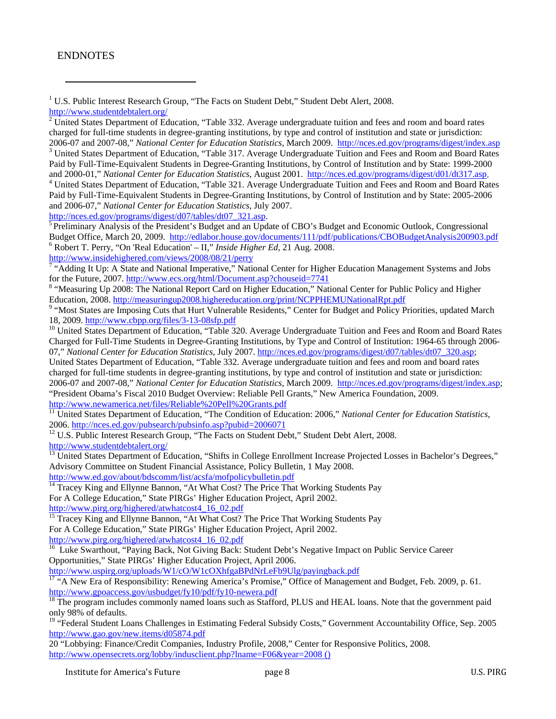#### ENDNOTES

1 U.S. Public Interest Research Group, "The Facts on Student Debt," Student Debt Alert, 2008. http://www.studentdebtalert.org/

2 United States Department of Education, "Table 332. Average undergraduate tuition and fees and room and board rates charged for full-time students in degree-granting institutions, by type and control of institution and state or jurisdiction: 2006-07 and 2007-08," *National Center for Education Statistics*, March 2009. http://nces.ed.gov/programs/digest/index.asp <sup>3</sup>

<sup>3</sup> United States Department of Education, "Table 317. Average Undergraduate Tuition and Fees and Room and Board Rates Paid by Full-Time-Equivalent Students in Degree-Granting Institutions, by Control of Institution and by State: 1999-2000 and 2000-01," *National Center for Education Statistics*, August 2001. http://nces.ed.gov/programs/digest/d01/dt317.asp. 4

 United States Department of Education, "Table 321. Average Undergraduate Tuition and Fees and Room and Board Rates Paid by Full-Time-Equivalent Students in Degree-Granting Institutions, by Control of Institution and by State: 2005-2006 and 2006-07," *National Center for Education Statistics*, July 2007.

http://nces.ed.gov/programs/digest/d07/tables/dt07\_321.asp. 5 Preliminary Analysis of the President's Budget and an Update of CBO's Budget and Economic Outlook, Congressional Budget Office, March 20, 2009. http://edlabor.house.gov/documents/111/pdf/publications/CBOBudgetAnalysis200903.pdf 6 Robert T. Perry, "On 'Real Education' – II," *Inside Higher Ed*, 21 Aug. 2008.

http://www.insidehighered.com/views/2008/08/21/perry 7

 $\frac{7}{4}$  "Adding It Up: A State and National Imperative," National Center for Higher Education Management Systems and Jobs for the Future, 2007. http://www.ecs.org/html/Document.asp?chouseid=7741

<sup>8</sup> "Measuring Up 2008: The National Report Card on Higher Education," National Center for Public Policy and Higher Education, 2008. http://measuringup2008.highereducation.org/print/NCPPHEMUNationalRpt.pdf 9

<sup>9</sup> "Most States are Imposing Cuts that Hurt Vulnerable Residents," Center for Budget and Policy Priorities, updated March 18, 2009. http://www.cbpp.org/files/3-13-08sfp.pdf

<sup>10</sup> United States Department of Education, "Table 320. Average Undergraduate Tuition and Fees and Room and Board Rates Charged for Full-Time Students in Degree-Granting Institutions, by Type and Control of Institution: 1964-65 through 2006- 07," *National Center for Education Statistics*, July 2007. http://nces.ed.gov/programs/digest/d07/tables/dt07\_320.asp;

United States Department of Education, "Table 332. Average undergraduate tuition and fees and room and board rates charged for full-time students in degree-granting institutions, by type and control of institution and state or jurisdiction: 2006-07 and 2007-08," *National Center for Education Statistics*, March 2009. http://nces.ed.gov/programs/digest/index.asp; "President Obama's Fiscal 2010 Budget Overview: Reliable Pell Grants," New America Foundation, 2009.<br>http://www.newamerica.net/files/Reliable%20Pell%20Grants.pdf

<sup>11</sup> United States Department of Education, "The Condition of Education: 2006," *National Center for Education Statistics*,

2006. http://nces.ed.gov/pubsearch/pubsinfo.asp?pubid=2006071 12<br><sup>12</sup> U.S. Public Interest Research Group, "The Facts on Student Debt," Student Debt Alert, 2008. http://www.studentdebtalert.org/

<sup>13</sup> United States Department of Education, "Shifts in College Enrollment Increase Projected Losses in Bachelor's Degrees," Advisory Committee on Student Financial Assistance, Policy Bulletin, 1 May 2008.

http://www.ed.gov/about/bdscomm/list/acsfa/mofpolicybulletin.pdf 14 Tracey King and Ellynne Bannon, "At What Cost? The Price That Working Students Pay For A College Education," State PIRGs' Higher Education Project, April 2002. http://www.pirg.org/highered/atwhatcost4\_16\_02.pdf

<sup>15</sup> Tracey King and Ellynne Bannon, "At What Cost? The Price That Working Students Pay For A College Education," State PIRGs' Higher Education Project, April 2002. http://www.pirg.org/highered/atwhatcost4\_16\_02.pdf

<sup>16</sup> Luke Swarthout, "Paying Back, Not Giving Back: Student Debt's Negative Impact on Public Service Career Opportunities," State PIRGs' Higher Education Project, April 2006.

http://www.uspirg.org/uploads/W1/cO/W1cOXhfgaBPdNrLeFb9Ulg/payingback.pdf<br><sup>17</sup> "A New Era of Responsibility: Renewing America's Promise," Office of Management and Budget, Feb. 2009, p. 61. http://www.gpoaccess.gov/usbudget/fy10/pdf/fy10-newera.pdf<br><sup>18</sup> The program includes commonly named loans such as Stafford, PLUS and HEAL loans. Note that the government paid

only 98% of defaults.

<sup>19</sup> "Federal Student Loans Challenges in Estimating Federal Subsidy Costs," Government Accountability Office, Sep. 2005 http://www.gao.gov/new.items/d05874.pdf

20 "Lobbying: Finance/Credit Companies, Industry Profile, 2008," Center for Responsive Politics, 2008. http://www.opensecrets.org/lobby/indusclient.php?lname=F06&year=2008 ()